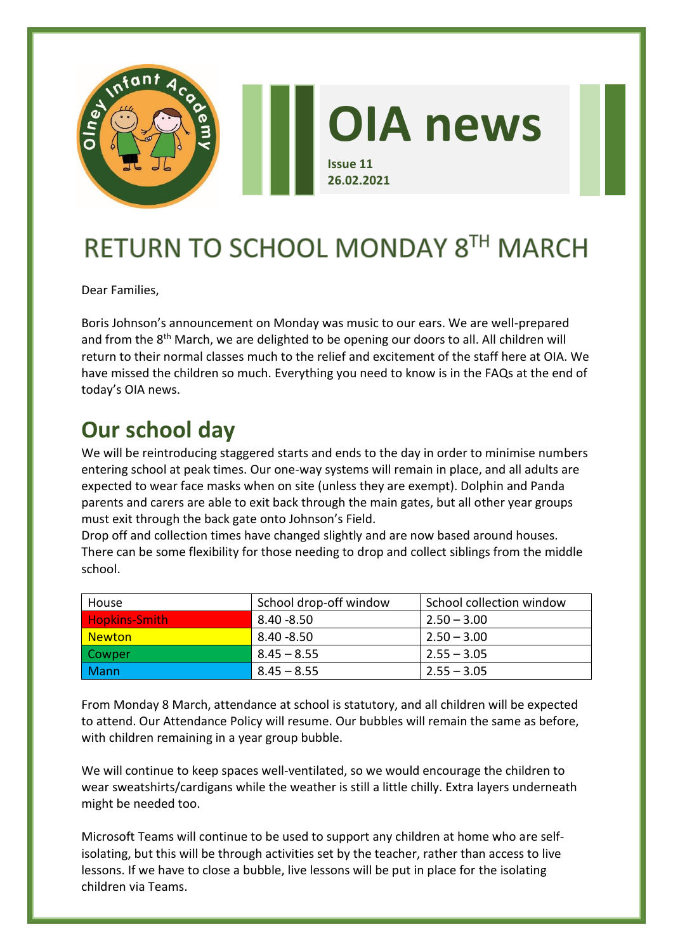

# RETURN TO SCHOOL MONDAY 8TH MARCH

Dear Families,

Boris Johnson's announcement on Monday was music to our ears. We are well-prepared and from the 8<sup>th</sup> March, we are delighted to be opening our doors to all. All children will return to their normal classes much to the relief and excitement of the staff here at OIA. We have missed the children so much. Everything you need to know is in the FAQs at the end of today's OIA news.

# **Our school day**

We will be reintroducing staggered starts and ends to the day in order to minimise numbers entering school at peak times. Our one-way systems will remain in place, and all adults are expected to wear face masks when on site (unless they are exempt). Dolphin and Panda parents and carers are able to exit back through the main gates, but all other year groups must exit through the back gate onto Johnson's Field.

Drop off and collection times have changed slightly and are now based around houses. There can be some flexibility for those needing to drop and collect siblings from the middle school.

| House                 | School drop-off window | School collection window |
|-----------------------|------------------------|--------------------------|
| <b>Hopkins-Smith</b>  | 8.40 -8.50             | $2.50 - 3.00$            |
| <mark>  Newton</mark> | 8.40 - 8.50            | $2.50 - 3.00$            |
| Cowper                | $8.45 - 8.55$          | $2.55 - 3.05$            |
| <b>Mann</b>           | $8.45 - 8.55$          | $2.55 - 3.05$            |

From Monday 8 March, attendance at school is statutory, and all children will be expected to attend. Our Attendance Policy will resume. Our bubbles will remain the same as before, with children remaining in a year group bubble.

We will continue to keep spaces well-ventilated, so we would encourage the children to wear sweatshirts/cardigans while the weather is still a little chilly. Extra layers underneath might be needed too.

Microsoft Teams will continue to be used to support any children at home who are selfisolating, but this will be through activities set by the teacher, rather than access to live lessons. If we have to close a bubble, live lessons will be put in place for the isolating children via Teams.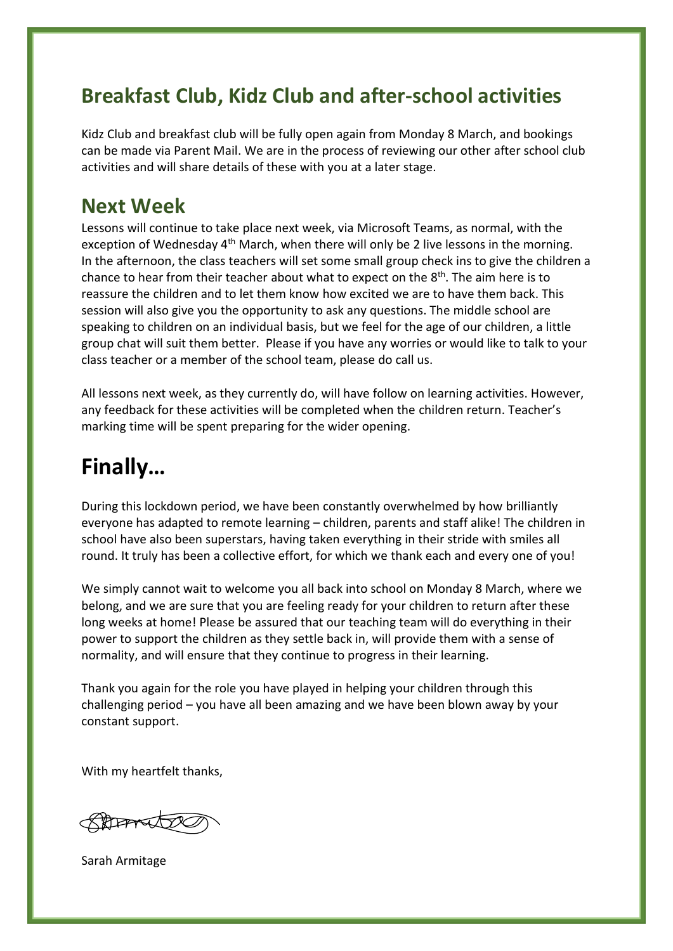### **Breakfast Club, Kidz Club and after-school activities**

Kidz Club and breakfast club will be fully open again from Monday 8 March, and bookings can be made via Parent Mail. We are in the process of reviewing our other after school club activities and will share details of these with you at a later stage.

#### **Next Week**

Lessons will continue to take place next week, via Microsoft Teams, as normal, with the exception of Wednesday  $4<sup>th</sup>$  March, when there will only be 2 live lessons in the morning. In the afternoon, the class teachers will set some small group check ins to give the children a chance to hear from their teacher about what to expect on the 8<sup>th</sup>. The aim here is to reassure the children and to let them know how excited we are to have them back. This session will also give you the opportunity to ask any questions. The middle school are speaking to children on an individual basis, but we feel for the age of our children, a little group chat will suit them better. Please if you have any worries or would like to talk to your class teacher or a member of the school team, please do call us.

All lessons next week, as they currently do, will have follow on learning activities. However, any feedback for these activities will be completed when the children return. Teacher's marking time will be spent preparing for the wider opening.

# **Finally…**

During this lockdown period, we have been constantly overwhelmed by how brilliantly everyone has adapted to remote learning – children, parents and staff alike! The children in school have also been superstars, having taken everything in their stride with smiles all round. It truly has been a collective effort, for which we thank each and every one of you!

We simply cannot wait to welcome you all back into school on Monday 8 March, where we belong, and we are sure that you are feeling ready for your children to return after these long weeks at home! Please be assured that our teaching team will do everything in their power to support the children as they settle back in, will provide them with a sense of normality, and will ensure that they continue to progress in their learning.

Thank you again for the role you have played in helping your children through this challenging period – you have all been amazing and we have been blown away by your constant support.

With my heartfelt thanks,

BARTY

Sarah Armitage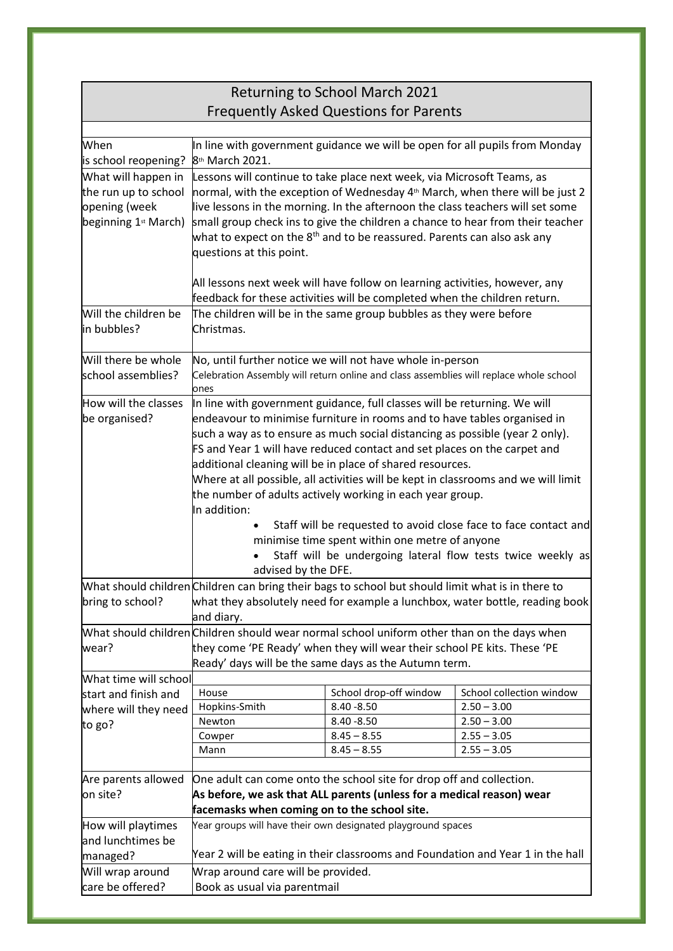| <b>Returning to School March 2021</b>                                                |                                                                                                                                                                                                                                                                                                                                                                                                                                                                                                                                                                                                                                                                                                                                                                                                                                                                                                                                                                                                                                                                                                                                            |                                |                          |  |
|--------------------------------------------------------------------------------------|--------------------------------------------------------------------------------------------------------------------------------------------------------------------------------------------------------------------------------------------------------------------------------------------------------------------------------------------------------------------------------------------------------------------------------------------------------------------------------------------------------------------------------------------------------------------------------------------------------------------------------------------------------------------------------------------------------------------------------------------------------------------------------------------------------------------------------------------------------------------------------------------------------------------------------------------------------------------------------------------------------------------------------------------------------------------------------------------------------------------------------------------|--------------------------------|--------------------------|--|
| <b>Frequently Asked Questions for Parents</b>                                        |                                                                                                                                                                                                                                                                                                                                                                                                                                                                                                                                                                                                                                                                                                                                                                                                                                                                                                                                                                                                                                                                                                                                            |                                |                          |  |
|                                                                                      |                                                                                                                                                                                                                                                                                                                                                                                                                                                                                                                                                                                                                                                                                                                                                                                                                                                                                                                                                                                                                                                                                                                                            |                                |                          |  |
| When                                                                                 | In line with government guidance we will be open for all pupils from Monday                                                                                                                                                                                                                                                                                                                                                                                                                                                                                                                                                                                                                                                                                                                                                                                                                                                                                                                                                                                                                                                                |                                |                          |  |
| is school reopening?                                                                 | 8 <sup>th</sup> March 2021.                                                                                                                                                                                                                                                                                                                                                                                                                                                                                                                                                                                                                                                                                                                                                                                                                                                                                                                                                                                                                                                                                                                |                                |                          |  |
| What will happen in<br>the run up to school<br>opening (week<br>beginning 1st March) | Lessons will continue to take place next week, via Microsoft Teams, as<br>normal, with the exception of Wednesday 4 <sup>th</sup> March, when there will be just 2<br>live lessons in the morning. In the afternoon the class teachers will set some<br>small group check ins to give the children a chance to hear from their teacher<br>what to expect on the $8th$ and to be reassured. Parents can also ask any<br>questions at this point.                                                                                                                                                                                                                                                                                                                                                                                                                                                                                                                                                                                                                                                                                            |                                |                          |  |
|                                                                                      | All lessons next week will have follow on learning activities, however, any                                                                                                                                                                                                                                                                                                                                                                                                                                                                                                                                                                                                                                                                                                                                                                                                                                                                                                                                                                                                                                                                |                                |                          |  |
|                                                                                      | feedback for these activities will be completed when the children return.<br>The children will be in the same group bubbles as they were before                                                                                                                                                                                                                                                                                                                                                                                                                                                                                                                                                                                                                                                                                                                                                                                                                                                                                                                                                                                            |                                |                          |  |
| Will the children be<br>in bubbles?                                                  | Christmas.                                                                                                                                                                                                                                                                                                                                                                                                                                                                                                                                                                                                                                                                                                                                                                                                                                                                                                                                                                                                                                                                                                                                 |                                |                          |  |
| Will there be whole                                                                  | No, until further notice we will not have whole in-person                                                                                                                                                                                                                                                                                                                                                                                                                                                                                                                                                                                                                                                                                                                                                                                                                                                                                                                                                                                                                                                                                  |                                |                          |  |
| school assemblies?                                                                   | Celebration Assembly will return online and class assemblies will replace whole school<br>ones                                                                                                                                                                                                                                                                                                                                                                                                                                                                                                                                                                                                                                                                                                                                                                                                                                                                                                                                                                                                                                             |                                |                          |  |
| How will the classes<br>be organised?<br>bring to school?                            | In line with government guidance, full classes will be returning. We will<br>endeavour to minimise furniture in rooms and to have tables organised in<br>such a way as to ensure as much social distancing as possible (year 2 only).<br>FS and Year 1 will have reduced contact and set places on the carpet and<br>additional cleaning will be in place of shared resources.<br>Where at all possible, all activities will be kept in classrooms and we will limit<br>the number of adults actively working in each year group.<br>In addition:<br>Staff will be requested to avoid close face to face contact and<br>minimise time spent within one metre of anyone<br>Staff will be undergoing lateral flow tests twice weekly as<br>advised by the DFE.<br>What should children Children can bring their bags to school but should limit what is in there to<br>what they absolutely need for example a lunchbox, water bottle, reading book<br>and diary.<br>What should children Children should wear normal school uniform other than on the days when<br>they come 'PE Ready' when they will wear their school PE kits. These 'PE |                                |                          |  |
| wear?                                                                                | Ready' days will be the same days as the Autumn term.                                                                                                                                                                                                                                                                                                                                                                                                                                                                                                                                                                                                                                                                                                                                                                                                                                                                                                                                                                                                                                                                                      |                                |                          |  |
| What time will school                                                                |                                                                                                                                                                                                                                                                                                                                                                                                                                                                                                                                                                                                                                                                                                                                                                                                                                                                                                                                                                                                                                                                                                                                            |                                |                          |  |
| start and finish and                                                                 | House                                                                                                                                                                                                                                                                                                                                                                                                                                                                                                                                                                                                                                                                                                                                                                                                                                                                                                                                                                                                                                                                                                                                      | School drop-off window         | School collection window |  |
| where will they need                                                                 | Hopkins-Smith                                                                                                                                                                                                                                                                                                                                                                                                                                                                                                                                                                                                                                                                                                                                                                                                                                                                                                                                                                                                                                                                                                                              | $8.40 - 8.50$                  | $2.50 - 3.00$            |  |
| to go?                                                                               | Newton                                                                                                                                                                                                                                                                                                                                                                                                                                                                                                                                                                                                                                                                                                                                                                                                                                                                                                                                                                                                                                                                                                                                     | $8.40 - 8.50$                  | $2.50 - 3.00$            |  |
|                                                                                      | Cowper<br>Mann                                                                                                                                                                                                                                                                                                                                                                                                                                                                                                                                                                                                                                                                                                                                                                                                                                                                                                                                                                                                                                                                                                                             | $8.45 - 8.55$<br>$8.45 - 8.55$ | $2.55 - 3.05$            |  |
|                                                                                      |                                                                                                                                                                                                                                                                                                                                                                                                                                                                                                                                                                                                                                                                                                                                                                                                                                                                                                                                                                                                                                                                                                                                            |                                | $2.55 - 3.05$            |  |
| Are parents allowed                                                                  | One adult can come onto the school site for drop off and collection.<br>As before, we ask that ALL parents (unless for a medical reason) wear                                                                                                                                                                                                                                                                                                                                                                                                                                                                                                                                                                                                                                                                                                                                                                                                                                                                                                                                                                                              |                                |                          |  |
| on site?                                                                             |                                                                                                                                                                                                                                                                                                                                                                                                                                                                                                                                                                                                                                                                                                                                                                                                                                                                                                                                                                                                                                                                                                                                            |                                |                          |  |
|                                                                                      | facemasks when coming on to the school site.                                                                                                                                                                                                                                                                                                                                                                                                                                                                                                                                                                                                                                                                                                                                                                                                                                                                                                                                                                                                                                                                                               |                                |                          |  |
| How will playtimes                                                                   | Year groups will have their own designated playground spaces                                                                                                                                                                                                                                                                                                                                                                                                                                                                                                                                                                                                                                                                                                                                                                                                                                                                                                                                                                                                                                                                               |                                |                          |  |
| and lunchtimes be                                                                    |                                                                                                                                                                                                                                                                                                                                                                                                                                                                                                                                                                                                                                                                                                                                                                                                                                                                                                                                                                                                                                                                                                                                            |                                |                          |  |
| managed?                                                                             | Year 2 will be eating in their classrooms and Foundation and Year 1 in the hall                                                                                                                                                                                                                                                                                                                                                                                                                                                                                                                                                                                                                                                                                                                                                                                                                                                                                                                                                                                                                                                            |                                |                          |  |
| Will wrap around                                                                     | Wrap around care will be provided.                                                                                                                                                                                                                                                                                                                                                                                                                                                                                                                                                                                                                                                                                                                                                                                                                                                                                                                                                                                                                                                                                                         |                                |                          |  |
| care be offered?                                                                     | Book as usual via parentmail                                                                                                                                                                                                                                                                                                                                                                                                                                                                                                                                                                                                                                                                                                                                                                                                                                                                                                                                                                                                                                                                                                               |                                |                          |  |